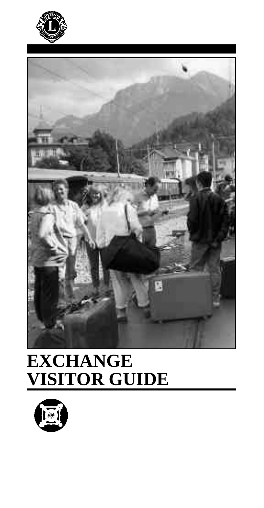



# **EXCHANGE VISITOR GUIDE**

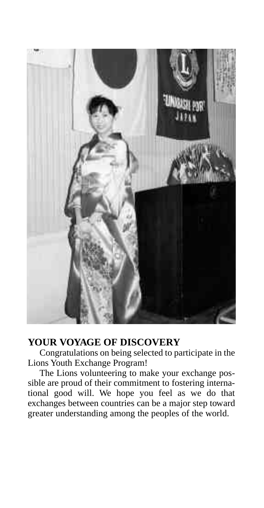

# **YOUR VOYAGE OF DISCOVERY**

Congratulations on being selected to participate in the Lions Youth Exchange Program!

The Lions volunteering to make your exchange possible are proud of their commitment to fostering international good will. We hope you feel as we do that exchanges between countries can be a major step toward greater understanding among the peoples of the world.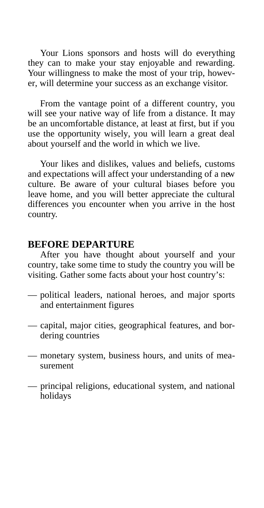Your Lions sponsors and hosts will do everything they can to make your stay enjoyable and rewarding. Your willingness to make the most of your trip, however, will determine your success as an exchange visitor.

From the vantage point of a different country, you will see your native way of life from a distance. It may be an uncomfortable distance, at least at first, but if you use the opportunity wisely, you will learn a great deal about yourself and the world in which we live.

Your likes and dislikes, values and beliefs, customs and expectations will affect your understanding of a new culture. Be aware of your cultural biases before you leave home, and you will better appreciate the cultural differences you encounter when you arrive in the host country.

## **BEFORE DEPARTURE**

After you have thought about yourself and your country, take some time to study the country you will be visiting. Gather some facts about your host country's:

- political leaders, national heroes, and major sports and entertainment figures
- capital, major cities, geographical features, and bordering countries
- monetary system, business hours, and units of measurement
- principal religions, educational system, and national holidays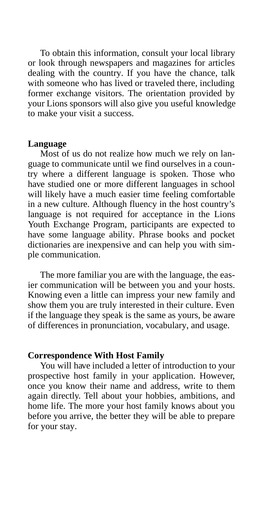To obtain this information, consult your local library or look through newspapers and magazines for articles dealing with the country. If you have the chance, talk with someone who has lived or traveled there, including former exchange visitors. The orientation provided by your Lions sponsors will also give you useful knowledge to make your visit a success.

#### **Language**

Most of us do not realize how much we rely on language to communicate until we find ourselves in a country where a different language is spoken. Those who have studied one or more different languages in school will likely have a much easier time feeling comfortable in a new culture. Although fluency in the host country's language is not required for acceptance in the Lions Youth Exchange Program, participants are expected to have some language ability. Phrase books and pocket dictionaries are inexpensive and can help you with simple communication.

The more familiar you are with the language, the easier communication will be between you and your hosts. Knowing even a little can impress your new family and show them you are truly interested in their culture. Even if the language they speak is the same as yours, be aware of differences in pronunciation, vocabulary, and usage.

## **Correspondence With Host Family**

You will have included a letter of introduction to your prospective host family in your application. However, once you know their name and address, write to them again directly. Tell about your hobbies, ambitions, and home life. The more your host family knows about you before you arrive, the better they will be able to prepare for your stay.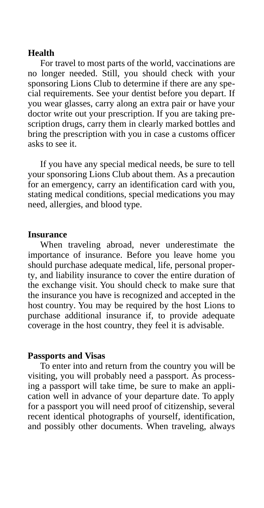#### **Health**

For travel to most parts of the world, vaccinations are no longer needed. Still, you should check with your sponsoring Lions Club to determine if there are any special requirements. See your dentist before you depart. If you wear glasses, carry along an extra pair or have your doctor write out your prescription. If you are taking prescription drugs, carry them in clearly marked bottles and bring the prescription with you in case a customs officer asks to see it.

If you have any special medical needs, be sure to tell your sponsoring Lions Club about them. As a precaution for an emergency, carry an identification card with you, stating medical conditions, special medications you may need, allergies, and blood type.

#### **Insurance**

When traveling abroad, never underestimate the importance of insurance. Before you leave home you should purchase adequate medical, life, personal property, and liability insurance to cover the entire duration of the exchange visit. You should check to make sure that the insurance you have is recognized and accepted in the host country. You may be required by the host Lions to purchase additional insurance if, to provide adequate coverage in the host country, they feel it is advisable.

#### **Passports and Visas**

To enter into and return from the country you will be visiting, you will probably need a passport. As processing a passport will take time, be sure to make an application well in advance of your departure date. To apply for a passport you will need proof of citizenship, several recent identical photographs of yourself, identification, and possibly other documents. When traveling, always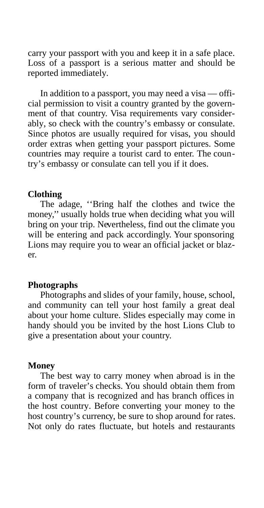carry your passport with you and keep it in a safe place. Loss of a passport is a serious matter and should be reported immediately.

In addition to a passport, you may need a visa — official permission to visit a country granted by the government of that country. Visa requirements vary considerably, so check with the country's embassy or consulate. Since photos are usually required for visas, you should order extras when getting your passport pictures. Some countries may require a tourist card to enter. The country's embassy or consulate can tell you if it does.

#### **Clothing**

The adage, ''Bring half the clothes and twice the money,'' usually holds true when deciding what you will bring on your trip. Nevertheless, find out the climate you will be entering and pack accordingly. Your sponsoring Lions may require you to wear an official jacket or blazer.

#### **Photographs**

Photographs and slides of your family, house, school, and community can tell your host family a great deal about your home culture. Slides especially may come in handy should you be invited by the host Lions Club to give a presentation about your country.

#### **Money**

The best way to carry money when abroad is in the form of traveler's checks. You should obtain them from a company that is recognized and has branch offices in the host country. Before converting your money to the host country's currency, be sure to shop around for rates. Not only do rates fluctuate, but hotels and restaurants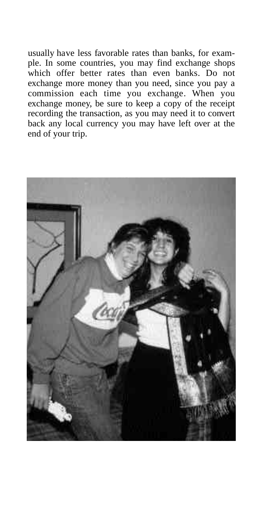usually have less favorable rates than banks, for example. In some countries, you may find exchange shops which offer better rates than even banks. Do not exchange more money than you need, since you pay a commission each time you exchange. When you exchange money, be sure to keep a copy of the receipt recording the transaction, as you may need it to convert back any local currency you may have left over at the end of your trip.

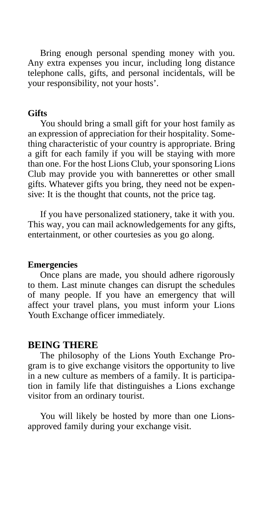Bring enough personal spending money with you. Any extra expenses you incur, including long distance telephone calls, gifts, and personal incidentals, will be your responsibility, not your hosts'.

#### **Gifts**

You should bring a small gift for your host family as an expression of appreciation for their hospitality. Something characteristic of your country is appropriate. Bring a gift for each family if you will be staying with more than one. For the host Lions Club, your sponsoring Lions Club may provide you with bannerettes or other small gifts. Whatever gifts you bring, they need not be expensive: It is the thought that counts, not the price tag.

If you have personalized stationery, take it with you. This way, you can mail acknowledgements for any gifts, entertainment, or other courtesies as you go along.

#### **Emergencies**

Once plans are made, you should adhere rigorously to them. Last minute changes can disrupt the schedules of many people. If you have an emergency that will affect your travel plans, you must inform your Lions Youth Exchange officer immediately.

#### **BEING THERE**

The philosophy of the Lions Youth Exchange Program is to give exchange visitors the opportunity to live in a new culture as members of a family. It is participation in family life that distinguishes a Lions exchange visitor from an ordinary tourist.

You will likely be hosted by more than one Lionsapproved family during your exchange visit.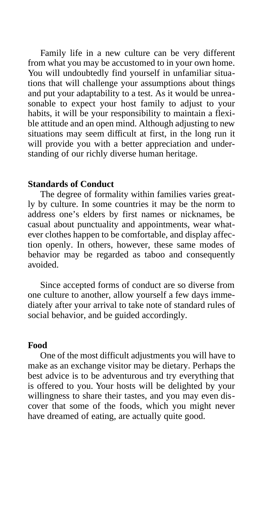Family life in a new culture can be very different from what you may be accustomed to in your own home. You will undoubtedly find yourself in unfamiliar situations that will challenge your assumptions about things and put your adaptability to a test. As it would be unreasonable to expect your host family to adjust to your habits, it will be your responsibility to maintain a flexible attitude and an open mind. Although adjusting to new situations may seem difficult at first, in the long run it will provide you with a better appreciation and understanding of our richly diverse human heritage.

#### **Standards of Conduct**

The degree of formality within families varies greatly by culture. In some countries it may be the norm to address one's elders by first names or nicknames, be casual about punctuality and appointments, wear whatever clothes happen to be comfortable, and display affection openly. In others, however, these same modes of behavior may be regarded as taboo and consequently avoided.

Since accepted forms of conduct are so diverse from one culture to another, allow yourself a few days immediately after your arrival to take note of standard rules of social behavior, and be guided accordingly.

#### **Food**

One of the most difficult adjustments you will have to make as an exchange visitor may be dietary. Perhaps the best advice is to be adventurous and try everything that is offered to you. Your hosts will be delighted by your willingness to share their tastes, and you may even discover that some of the foods, which you might never have dreamed of eating, are actually quite good.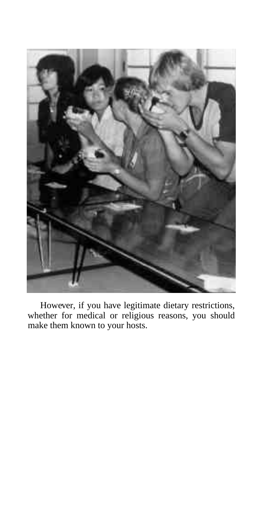

However, if you have legitimate dietary restrictions, whether for medical or religious reasons, you should make them known to your hosts.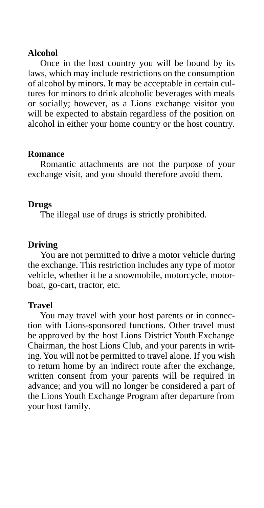#### **Alcohol**

Once in the host country you will be bound by its laws, which may include restrictions on the consumption of alcohol by minors. It may be acceptable in certain cultures for minors to drink alcoholic beverages with meals or socially; however, as a Lions exchange visitor you will be expected to abstain regardless of the position on alcohol in either your home country or the host country.

#### **Romance**

Romantic attachments are not the purpose of your exchange visit, and you should therefore avoid them.

#### **Drugs**

The illegal use of drugs is strictly prohibited.

#### **Driving**

You are not permitted to drive a motor vehicle during the exchange. This restriction includes any type of motor vehicle, whether it be a snowmobile, motorcycle, motorboat, go-cart, tractor, etc.

#### **Travel**

You may travel with your host parents or in connection with Lions-sponsored functions. Other travel must be approved by the host Lions District Youth Exchange Chairman, the host Lions Club, and your parents in writing. You will not be permitted to travel alone. If you wish to return home by an indirect route after the exchange, written consent from your parents will be required in advance; and you will no longer be considered a part of the Lions Youth Exchange Program after departure from your host family.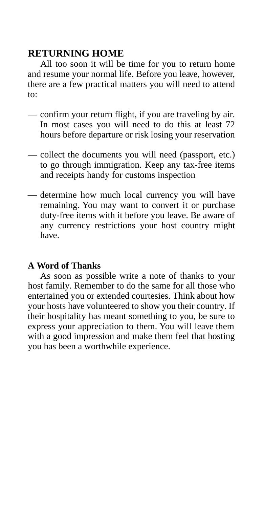# **RETURNING HOME**

All too soon it will be time for you to return home and resume your normal life. Before you leave, however, there are a few practical matters you will need to attend to:

- confirm your return flight, if you are traveling by air. In most cases you will need to do this at least 72 hours before departure or risk losing your reservation
- collect the documents you will need (passport, etc.) to go through immigration. Keep any tax-free items and receipts handy for customs inspection
- determine how much local currency you will have remaining. You may want to convert it or purchase duty-free items with it before you leave. Be aware of any currency restrictions your host country might have.

## **A Word of Thanks**

As soon as possible write a note of thanks to your host family. Remember to do the same for all those who entertained you or extended courtesies. Think about how your hosts have volunteered to show you their country. If their hospitality has meant something to you, be sure to express your appreciation to them. You will leave them with a good impression and make them feel that hosting you has been a worthwhile experience.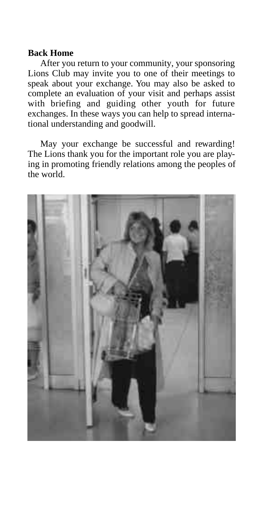#### **Back Home**

After you return to your community, your sponsoring Lions Club may invite you to one of their meetings to speak about your exchange. You may also be asked to complete an evaluation of your visit and perhaps assist with briefing and guiding other youth for future exchanges. In these ways you can help to spread international understanding and goodwill.

May your exchange be successful and rewarding! The Lions thank you for the important role you are playing in promoting friendly relations among the peoples of the world.